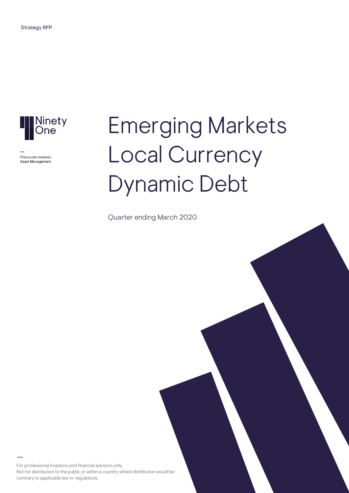

Previously Investec Asset Management

# Emerging Markets Local Currency Dynamic Debt

Quarter ending March 2020

For professional investors and financial advisors only. Not for distribution to the public or within a country where distribution would be contrary to applicable law or regulations.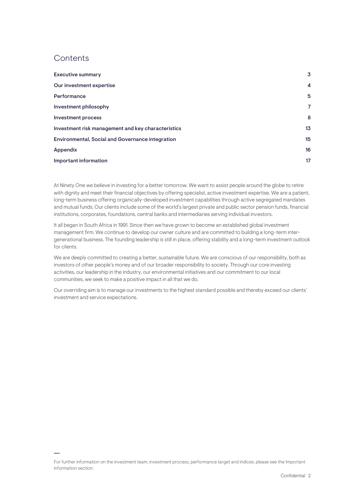## **Contents**

| <b>Executive summary</b>                           | 3              |
|----------------------------------------------------|----------------|
| Our investment expertise                           | $\overline{4}$ |
| Performance                                        | 5              |
| Investment philosophy                              | 7              |
| <b>Investment process</b>                          | 8              |
| Investment risk management and key characteristics | 13             |
| Environmental, Social and Governance integration   | 15             |
| Appendix                                           | 16             |
| Important information                              | 17             |

At Ninety One we believe in investing for a better tomorrow. We want to assist people around the globe to retire with dignity and meet their financial objectives by offering specialist, active investment expertise. We are a patient, long-term business offering organically-developed investment capabilities through active segregated mandates and mutual funds. Our clients include some of the world's largest private and public sector pension funds, financial institutions, corporates, foundations, central banks and intermediaries serving individual investors.

It all began in South Africa in 1991. Since then we have grown to become an established global investment management firm. We continue to develop our owner culture and are committed to building a long-term intergenerational business. The founding leadership is still in place, offering stability and a long-term investment outlook for clients.

We are deeply committed to creating a better, sustainable future. We are conscious of our responsibility, both as investors of other people's money and of our broader responsibility to society. Through our core investing activities, our leadership in the industry, our environmental initiatives and our commitment to our local communities, we seek to make a positive impact in all that we do.

Our overriding aim is to manage our investments to the highest standard possible and thereby exceed our clients' investment and service expectations.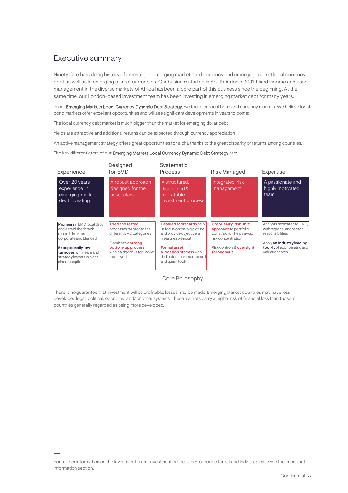## <span id="page-2-0"></span>Executive summary

Ninety One has a long history of investing in emerging market hard currency and emerging market local currency debt as well as in emerging market currencies. Our business started in South Africa in 1991. Fixed income and cash management in the diverse markets of Africa has been a core part of this business since the beginning. At the same time, our London-based investment team has been investing in emerging market debt for many years.

In our Emerging Markets Local Currency Dynamic Debt Strategy, we focus on local bond and currency markets. We believe local bond markets offer excellent opportunities and will see significant developments in years to come:

The local currency debt market is much bigger than the market for emerging dollar debt

Yields are attractive and additional returns can be expected through currency appreciation

An active management strategy offers great opportunities for alpha thanks to the great disparity of returns among countries.

#### The key differentiators of our Emerging Markets Local Currency Dynamic Debt Strategy are:

| Experience                                                                                                                                                                                                  | Designed<br>for FMD                                                                                                                                                   | Systematic<br><b>Process</b>                                                                                                                                                                                | <b>Risk Managed</b>                                                                                                                           | Expertise                                                                                                                                                |
|-------------------------------------------------------------------------------------------------------------------------------------------------------------------------------------------------------------|-----------------------------------------------------------------------------------------------------------------------------------------------------------------------|-------------------------------------------------------------------------------------------------------------------------------------------------------------------------------------------------------------|-----------------------------------------------------------------------------------------------------------------------------------------------|----------------------------------------------------------------------------------------------------------------------------------------------------------|
| Over 20 years<br>experience in<br>emerging market<br>debt investing                                                                                                                                         | A robust approach<br>designed for the<br>asset class                                                                                                                  | A structured.<br>disciplined &<br>repeatable<br>investment process                                                                                                                                          | Integrated risk<br>management                                                                                                                 | A passionate and<br>highly motivated<br>team                                                                                                             |
| Pioneers in EMD local debt<br>and established track<br>records in external.<br>corporate and blended<br><b>Exceptionally low</b><br>turnover, with team and<br>strategy leaders in place<br>since inception | <b>Tried and tested</b><br>processes tailored to the<br>different EMD categories<br>Combines a strong<br>bottom-up process<br>within a rigorous top-down<br>framework | Detailed scorecards help<br>us focus on the big picture<br>and provide objective &<br>measureable input<br><b>Formal asset</b><br>allocation process with<br>dedicated team, scorecard<br>and quant toolkit | Proprietary 'risk unit'<br>approach to portfolio<br>construction helps avoid<br>risk concentration<br>Risk controls & oversight<br>throughout | Analysts dedicated to EMD,<br>with regional and sector<br>responsibilities<br>Apply an industry leading<br>toolkit of econometric and<br>valuation tools |

Core Philosophy

There is no guarantee that investment will be profitable; losses may be made. Emerging Market countries may have less developed legal, political, economic and/or other systems. These markets carry a higher risk of financial loss than those in countries generally regarded as being more developed.

For further information on the investment team, investment process, performance target and indices, please see the Important information section.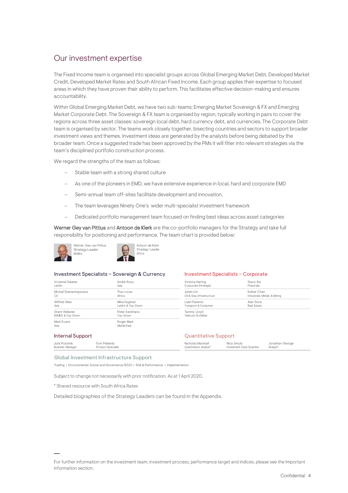## <span id="page-3-0"></span>Our investment expertise

The Fixed Income team is organised into specialist groups across Global Emerging Market Debt, Developed Market Credit, Developed Market Rates and South African Fixed Income. Each group applies their expertise to focused areas in which they have proven their ability to perform. This facilitates effective decision-making and ensures accountability.

Within Global Emerging Market Debt, we have two sub-teams; Emerging Market Sovereign & FX and Emerging Market Corporate Debt. The Sovereign & FX team is organised by region, typically working in pairs to cover the regions across three asset classes: sovereign local debt, hard currency debt, and currencies. The Corporate Debt team is organised by sector. The teams work closely together, bisecting countries and sectors to support broader investment views and themes. Investment ideas are generated by the analysts before being debated by the broader team. Once a suggested trade has been approved by the PMs it will filter into relevant strategies via the team's disciplined portfolio construction process.

We regard the strengths of the team as follows:

- Stable team with a strong shared culture
- As one of the pioneers in EMD, we have extensive experience in local, hard and corporate EMD
- Semi-annual team off-sites facilitate development and innovation.
- The team leverages Ninety One's wider multi-specialist investment framework
- − Dedicated portfolio management team focused on finding best ideas across asset categories

Werner Gey van Pittius and Antoon de Klerk are the co-portfolio managers for the Strategy and take full responsibility for positioning and performance. The team chart is provided below:



#### Investment Specialists – Sovereign & Currency

| Vivienne Taberer       | André Roux       |
|------------------------|------------------|
| I at Am                | Asia             |
| Michail Diamantopoulos | Thys Louw        |
| CF                     | Africa           |
| Wilfred Wee            | Mike Hugman      |
| Asia                   | LatAm & Top-Down |
| Grant Webster          | Peter Ferdmans   |
| EEMEA & Top-Down       | Top-Down         |
| Mark Fvans             | Roger Mark       |
| Asia                   | Middle Fast      |

#### Investment Specialists – Corporate

| Stacy Xie<br>Financials      |  |
|------------------------------|--|
| <b>Fsther Chan</b>           |  |
| Industrials, Metals & Mining |  |
| Alan Siow                    |  |
| Real Estate                  |  |
|                              |  |
|                              |  |
|                              |  |

#### Internal Support

| internar Support        |                    | Quantitude Support    |                           |                 |  |  |  |
|-------------------------|--------------------|-----------------------|---------------------------|-----------------|--|--|--|
| Julia Poszmik           | Tom Peberdy        | Nicholas Marshall     | Nico Smuts                | Jonathan George |  |  |  |
| <b>Business Manager</b> | Product Specialist | Ouantitative Analyst* | Investment Data Scientist | Analyst*        |  |  |  |

Quantitative Support

#### Global Investment Infrastructure Support

Trading | Environmental, Social and Governance (ESG) | Risk & Performance | Implementation

Subject to change not necessarily with prior notification. As at 1 April 2020.

\* Shared resource with South Africa Rates

Detailed biographies of the Strategy Leaders can be found in the Appendix.

For further information on the investment team, investment process, performance target and indices, please see the Important information section.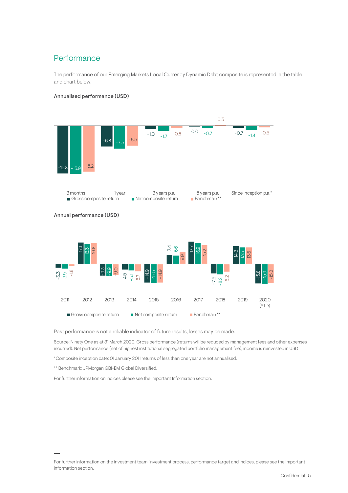# <span id="page-4-0"></span>Performance

The performance of our Emerging Markets Local Currency Dynamic Debt composite is represented in the table and chart below.

#### Annualised performance (USD)



Past performance is not a reliable indicator of future results, losses may be made.

Source: Ninety One as at 31 March 2020. Gross performance (returns will be reduced by management fees and other expenses incurred). Net performance (net of highest institutional segregated portfolio management fee), income is reinvested in USD

\*Composite inception date: 01 January 2011 returns of less than one year are not annualised.

\*\* Benchmark: JPMorgan GBI-EM Global Diversified.

For further information on indices please see the Important Information section.

For further information on the investment team, investment process, performance target and indices, please see the Important information section.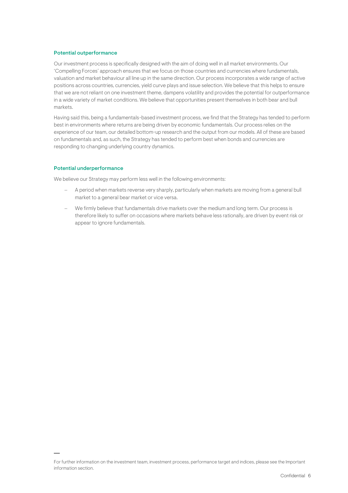#### Potential outperformance

Our investment process is specifically designed with the aim of doing well in all market environments. Our 'Compelling Forces' approach ensures that we focus on those countries and currencies where fundamentals, valuation and market behaviour all line up in the same direction. Our process incorporates a wide range of active positions across countries, currencies, yield curve plays and issue selection. We believe that this helps to ensure that we are not reliant on one investment theme, dampens volatility and provides the potential for outperformance in a wide variety of market conditions. We believe that opportunities present themselves in both bear and bull markets.

Having said this, being a fundamentals-based investment process, we find that the Strategy has tended to perform best in environments where returns are being driven by economic fundamentals. Our process relies on the experience of our team, our detailed bottom-up research and the output from our models. All of these are based on fundamentals and, as such, the Strategy has tended to perform best when bonds and currencies are responding to changing underlying country dynamics.

#### Potential underperformance

We believe our Strategy may perform less well in the following environments:

- − A period when markets reverse very sharply, particularly when markets are moving from a general bull market to a general bear market or vice versa.
- We firmly believe that fundamentals drive markets over the medium and long term. Our process is therefore likely to suffer on occasions where markets behave less rationally, are driven by event risk or appear to ignore fundamentals.

For further information on the investment team, investment process, performance target and indices, please see the Important information section.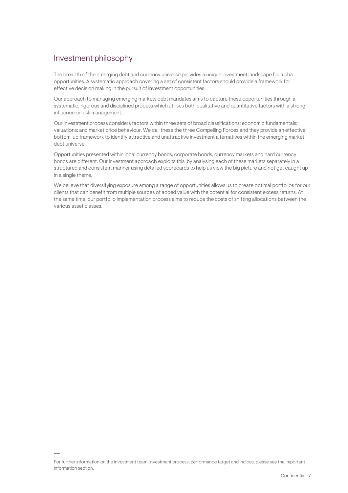## <span id="page-6-0"></span>Investment philosophy

The breadth of the emerging debt and currency universe provides a unique investment landscape for alpha opportunities. A systematic approach covering a set of consistent factors should provide a framework for effective decision making in the pursuit of investment opportunities.

Our approach to managing emerging markets debt mandates aims to capture these opportunities through a systematic, rigorous and disciplined process which utilises both qualitative and quantitative factors with a strong influence on risk management.

Our investment process considers factors within three sets of broad classifications: economic fundamentals; valuations; and market price behaviour. We call these the three Compelling Forces and they provide an effective bottom-up framework to identify attractive and unattractive investment alternatives within the emerging market debt universe.

Opportunities presented within local currency bonds, corporate bonds, currency markets and hard currency bonds are different. Our investment approach exploits this, by analysing each of these markets separately in a structured and consistent manner using detailed scorecards to help us view the big picture and not get caught up in a single theme.

We believe that diversifying exposure among a range of opportunities allows us to create optimal portfolios for our clients that can benefit from multiple sources of added value with the potential for consistent excess returns. At the same time, our portfolio implementation process aims to reduce the costs of shifting allocations between the various asset classes.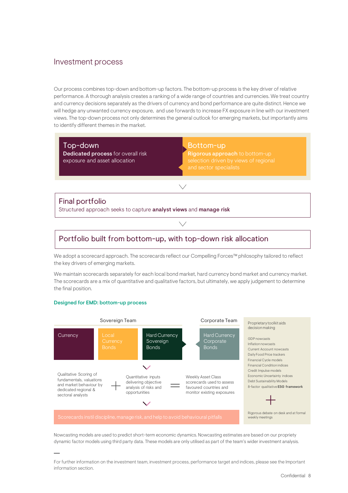## <span id="page-7-0"></span>Investment process

Our process combines top-down and bottom-up factors. The bottom-up process is the key driver of relative performance. A thorough analysis creates a ranking of a wide range of countries and currencies. We treat country and currency decisions separately as the drivers of currency and bond performance are quite distinct. Hence we will hedge any unwanted currency exposure, and use forwards to increase FX exposure in line with our investment views. The top-down process not only determines the general outlook for emerging markets, but importantly aims to identify different themes in the market.

Top-down Dedicated process for overall risk exposure and asset allocation

Designed for EMD: bottom-up process

Bottom-up

Rigorous approach to bottom-up selection driven by views of regional and sector specialists

## Final portfolio

Structured approach seeks to capture analyst views and manage risk

## Portfolio built from bottom-up, with top-down risk allocation

We adopt a scorecard approach. The scorecards reflect our Compelling Forces™ philosophy tailored to reflect the key drivers of emerging markets.

We maintain scorecards separately for each local bond market, hard currency bond market and currency market. The scorecards are a mix of quantitative and qualitative factors, but ultimately, we apply judgement to determine the final position.



Nowcasting models are used to predict short-term economic dynamics. Nowcasting estimates are based on our propriety dynamic factor models using third party data. These models are only utilised as part of the team's wider investment analysis.

For further information on the investment team, investment process, performance target and indices, please see the Important information section.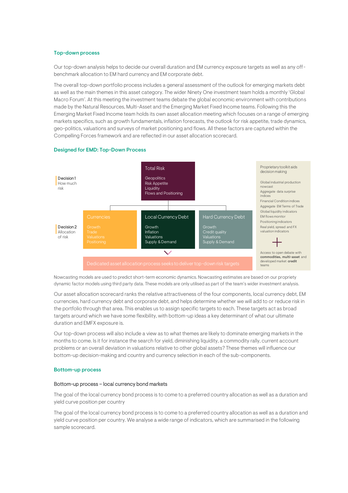#### Top-down process

Our top-down analysis helps to decide our overall duration and EM currency exposure targets as well as any offbenchmark allocation to EM hard currency and EM corporate debt.

The overall top-down portfolio process includes a general assessment of the outlook for emerging markets debt as well as the main themes in this asset category. The wider Ninety One investment team holds a monthly 'Global Macro Forum'. At this meeting the investment teams debate the global economic environment with contributions made by the Natural Resources, Multi-Asset and the Emerging Market Fixed Income teams. Following this the Emerging Market Fixed Income team holds its own asset allocation meeting which focuses on a range of emerging markets specifics, such as growth fundamentals, inflation forecasts, the outlook for risk appetite, trade dynamics, geo-politics, valuations and surveys of market positioning and flows. All these factors are captured within the Compelling Forces framework and are reflected in our asset allocation scorecard.



#### Designed for EMD: Top-Down Process

Nowcasting models are used to predict short-term economic dynamics. Nowcasting estimates are based on our propriety dynamic factor models using third party data. These models are only utilised as part of the team's wider investment analysis.

Our asset allocation scorecard ranks the relative attractiveness of the four components, local currency debt, EM currencies, hard currency debt and corporate debt, and helps determine whether we will add to or reduce risk in the portfolio through that area. This enables us to assign specific targets to each. These targets act as broad targets around which we have some flexibility, with bottom-up ideas a key determinant of what our ultimate duration and EMFX exposure is.

Our top-down process will also include a view as to what themes are likely to dominate emerging markets in the months to come. Is it for instance the search for yield, diminishing liquidity, a commodity rally, current account problems or an overall deviation in valuations relative to other global assets? These themes will influence our bottom-up decision-making and country and currency selection in each of the sub-components.

#### Bottom-up process

#### Bottom-up process – local currency bond markets

The goal of the local currency bond process is to come to a preferred country allocation as well as a duration and yield curve position per country

The goal of the local currency bond process is to come to a preferred country allocation as well as a duration and yield curve position per country. We analyse a wide range of indicators, which are summarised in the following sample scorecard.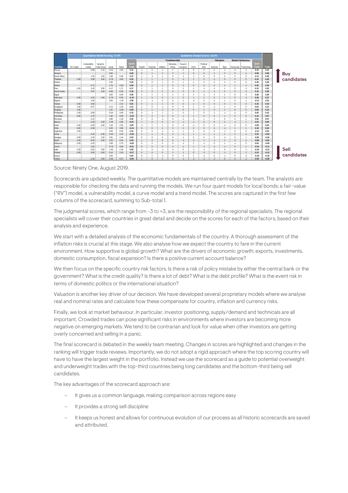|              | <b>Quantitative Model Scoring: 37.5%</b><br><b>Qualitative Analyst Scores: 62.5%</b> |                          |             |         |         |         |                      |                      |                      |                     |                      |                      |                      |                |                      |                |                          |         |              |                   |
|--------------|--------------------------------------------------------------------------------------|--------------------------|-------------|---------|---------|---------|----------------------|----------------------|----------------------|---------------------|----------------------|----------------------|----------------------|----------------|----------------------|----------------|--------------------------|---------|--------------|-------------------|
|              |                                                                                      |                          |             |         |         |         |                      |                      |                      | <b>Fundamentals</b> |                      |                      |                      |                | Valuation            |                | <b>Market behaviour</b>  |         |              |                   |
|              |                                                                                      | Vulnerability            | Dynamic     |         |         | Quant   |                      |                      |                      | Monetary            | Fiscal &             |                      | Political            |                |                      |                |                          | Qual    |              |                   |
| Country      | RV model                                                                             | model                    | Yield Curve | Curve   | Trend   | Total   | Growth               | External             | Inflation            | Policy              | Issuance             | ESG                  | Risk                 | Nominal        | Real                 |                | Technicals   Positioning | Total   | <b>Total</b> |                   |
| Russia       |                                                                                      | $-0.98$                  | 2.15        | $-0.10$ | 3.00    | 0.31    | $\ddot{\phantom{1}}$ | $\mathbf{0}$         | $\overline{1}$       | $\mathbf{1}$        | $\overline{2}$       | $\mathbf{0}$         | $\mathbf{0}$         | $\mathbf{0}$   | $\mathbf{1}$         | $\mathbf{0}$   | $-1$                     | 0.33    | 0.63         |                   |
| Ukraine      | $\overline{\phantom{a}}$                                                             | $\sim$                   |             | 0.00    |         | 0.00    | $\mathbf{0}$         | $\blacktriangleleft$ | $\blacktriangleleft$ | $\overline{2}$      | $\blacktriangleleft$ | $\mathbf{0}$         | $\mathbf{0}$         | $\mathbf{1}$   | $\overline{3}$       | $\mathbf{0}$   | $-1$                     | 0.58    | 0.58         |                   |
| South Africa |                                                                                      | 1.33                     | 1.00        | 2.58    | 0.00    | 0.37    | 1                    | $-1$                 | $\overline{1}$       | $\mathbf{0}$        | $-1$                 | $-1$                 | $\mathbf{0}$         | $\mathbf{0}$   | $\overline{2}$       | $\mathbf{0}$   | $\mathbf{0}$             | 0.13    | 0.49         | Buy<br>candidates |
| Thailand     | $-1.00$                                                                              | 0.08                     | 3.00        | $-0.78$ | 3.00    | 0.32    | $\mathbf{1}$         | $\mathbf{1}$         | $\mathbf{1}$         | $\mathbf{0}$        | $-1$                 | 1                    | $\mathbf{0}$         | $-1$           | $\mathbf{0}$         | $\mathbf{0}$   | $\mathbf{0}$             | 0.10    | 0.42         |                   |
| Ghana        |                                                                                      | $\overline{\phantom{a}}$ |             | 0.00    |         | 0.00    | 1                    | $\mathbf{0}$         | 1                    | $\mathbf{0}$        | $\sim$               | $\blacktriangleleft$ | $\mathbf{0}$         | $\mathbf{0}$   | $\overline{2}$       | $\mathbf{0}$   | $\mathbf{0}$             | 0.38    | 0.38         |                   |
| Serbia       | ÷                                                                                    | $-2.72$                  |             | 1.76    | 2.09    | 0.09    | $\mathbf{0}$         | $\blacktriangleleft$ | $\blacktriangleleft$ | $\Omega$            | $\overline{2}$       | $\mathbf{0}$         | $-2$                 | $\mathbf{0}$   | $\blacktriangleleft$ | $\overline{1}$ | $-1$                     | 0.25    | 0.34         |                   |
| Peru         | $-1.00$                                                                              | $-1.32$                  | 3.00        | $-0.17$ | 1.71    | 0.17    | 1                    | 1                    |                      | $\mathbf{0}$        | $\blacktriangleleft$ | $\blacktriangleleft$ | $-1$                 | $-1$           | $\blacktriangleleft$ | $\mathbf{0}$   | $-2$                     | 0.15    | 0.32         |                   |
| South Korea  | $\overline{\phantom{a}}$                                                             | 0.97                     | 1.00        | 0.08    | 0.55    | 0.19    | $\overline{2}$       | $\mathbf{0}$         | $\overline{2}$       | $\mathbf{0}$        | $\mathbf{0}$         | $\mathbf{0}$         | $\mathbf{1}$         | $-1$           | $\mathbf{0}$         | $\mathbf{0}$   | $-2$                     | 0.10    | 0.29         |                   |
| Egypt        |                                                                                      | $\sim$                   |             | 0.00    | 0.00    | 0.00    | 1                    | 1                    | 1                    | $\overline{1}$      | $-1$                 | $\mathbf{1}$         | $-1$                 | $\overline{1}$ | $\sim$               | $\mathbf{0}$   | $-2$                     | 0.28    | 0.28         |                   |
| Indonesia    | $-1.00$                                                                              | $-1.04$                  | 1.00        | $-0.78$ | 0.45    | $-0.10$ | 1                    | $\mathbf{0}$         | $\mathbf{0}$         | $\mathbf{1}$        | $\mathbf{0}$         | 1                    | $\mathbf{1}$         | $\overline{2}$ | 1                    | $\mathbf{0}$   | $-1$                     | 0.38    | 0.27         |                   |
| Nigeria      |                                                                                      | 3.00                     |             | 3.00    | $-1.25$ | 0.36    | 1                    | $-1$                 | $\mathbf{0}$         | $\mathbf{0}$        | $-1$                 | $-2$                 | $\Omega$             | $\Omega$       | $\sim$               | $\mathbf{0}$   | $-1$                     | $-0.13$ | 0.23         |                   |
| Taiwan       | $-3.00$                                                                              | 0.99                     |             |         | 2.14    | 0.01    | $\mathbf{0}$         | $\mathbf{1}$         | $\mathbf{1}$         | $\mathbf{0}$        | $\mathbf{0}$         | 1                    | $\mathbf{0}$         | $\mathbf{0}$   | $\mathbf{0}$         | $\mathbf{0}$   | $\mathbf{0}$             | 0.18    | 0.19         |                   |
| Singapore    | 1.00                                                                                 | $-0.37$                  |             | $-0.11$ | 1.03    | 0.12    | 1                    | $\mathbf{0}$         | $-1$                 | $\mathbf{0}$        | $\mathbf{0}$         | $\mathbf{1}$         | $\mathbf{0}$         | $-1$           |                      | $\mathbf{0}$   | $\mathbf{0}$             | 0.03    | 0.14         |                   |
| Uruguay      | 1.00                                                                                 | $\sim$                   |             | 2.41    | $-2.65$ | 0.06    | $\mathbf{0}$         | $\mathbf{1}$         | $-1$                 | $\mathbf{0}$        | $\mathbf{0}$         | $\mathbf{0}$         | $\mathbf{1}$         | $\mathbf{0}$   | 1                    | $\mathbf{0}$   | $\mathbf{0}$             | 0.08    | 0.13         |                   |
| Philippines  | $-1.00$                                                                              | $-0.68$                  |             | $-0.04$ | 3.00    | 0.10    | $\mathbf{0}$         | $-1$                 | $\overline{1}$       | $\overline{1}$      | $\mathbf{0}$         | $\mathbf{1}$         | $\mathbf{0}$         | $-1$           | $-1$                 | $\mathbf{0}$   | $\mathbf{0}$             | 0.00    | 0.10         |                   |
| Colombia     | $-3.00$                                                                              | $-1.70$                  | $\sim$      | 1.30    | 3.00    | $-0.03$ | $\mathbf{0}$         | $\mathbf{0}$         | $-1$                 | $\mathbf{0}$        | 1                    | 1                    | $\mathbf{0}$         | $\mathbf{0}$   | 1                    | $\mathbf{0}$   | $\mathbf{0}$             | 0.10    | 0.07         |                   |
| Romania      |                                                                                      | $-2.12$                  |             | 0.89    | 1.49    | 0.02    | $\mathbf{0}$         | $\mathbf{0}$         | $-1$                 | $^{\circ}$          | $-1$                 | $-1$                 | $\mathbf{1}$         | $\overline{2}$ | $\mathbf{0}$         | $\mathbf{0}$   | $\overline{1}$           | 0.05    | 0.07         |                   |
| Mexico       |                                                                                      | $-2.33$                  | 1.00        | $-1.09$ | 2.95    | 0.04    | $\mathbf{1}$         | $\Omega$             | $\mathbf{0}$         | $-1$                | $-1$                 | $-1$                 | $\mathbf{0}$         | $\mathbf{0}$   | $\overline{2}$       | $-1$           | $\overline{1}$           | 0.03    | 0.06         |                   |
| Israel       | $-1.00$                                                                              | $-0.50$                  | $-1.00$     | 1.18    | 2.52    | 0.09    | $-1$                 | 1                    | 1                    | $\mathbf{0}$        | $\mathbf{0}$         | $-1$                 | $\mathbf{0}$         | $\mathbf{0}$   | $-1$                 | $\mathbf{0}$   | $\mathbf{0}$             | $-0.05$ | 0.04         |                   |
| Chile        | $-3.00$                                                                              | $-2.08$                  | $\sim$      | 0.25    | 3.00    | $-0.14$ | $\mathbf{0}$         | $\mathbf{0}$         | $\blacktriangleleft$ | $\mathbf{0}$        | $\mathbf{1}$         | $\overline{2}$       | $\mathbf{0}$         | $-1$           | $-1$                 | $\overline{1}$ | $\overline{1}$           | 0.18    | 0.04         |                   |
| Argentina    | 2.00                                                                                 | $\sim$                   |             | 0.00    | 0.00    | 0.15    | $\mathbf{0}$         | $\Omega$             | $-1$                 | $-1$                | 1                    | $\overline{2}$       | $\cdot$ <sub>2</sub> | $\Omega$       | $-1$                 | $\mathbf{0}$   | $\mathbf{0}$             | $-0.13$ | 0.03         |                   |
| China        | $\overline{\phantom{a}}$                                                             | $-2.16$                  | $-2.36$     | $-0.40$ | 1.64    | $-0.25$ | $\mathbf{1}$         | $\mathbf{1}$         | $\Omega$             | $\Omega$            | $-1$                 | 1                    | $\mathbf{1}$         | 1              | 1                    | $\mathbf{0}$   | $-1$                     | 0.23    | $-0.02$      |                   |
| Hungary      | $-2.00$                                                                              | $-1.00$                  | 1.00        | 0.91    | 1.44    | 0.03    | $\mathbf{0}$         | $\Omega$             | $\Omega$             | $\Omega$            | 1                    | $\Omega$             | $\Omega$             | $\Omega$       | $-2$                 | $\Omega$       | $\overline{1}$           | $-0.05$ | $-0.02$      |                   |
| Brazil       | $-1.00$                                                                              | $-0.24$                  | $-1.00$     | 2.03    | 0.64    | 0.03    | $\mathbf{1}$         | $\mathbf{0}$         | $\mathbf{0}$         | $\mathbf{0}$        | $-1$                 | $-1$                 | $\mathbf{1}$         | $-1$           | $\mathbf{1}$         | $\mathbf{0}$   | $-1$                     | $-0.08$ | $-0.04$      |                   |
| Malaysia     | $-2.00$                                                                              | $-2.32$                  |             | 0.38    | 2.79    | $-0.09$ | $\mathbf{0}$         | $\mathbf{0}$         | 0                    | $\mathbf{0}$        | $-1$                 | $\blacktriangleleft$ | $-1$                 | $\mathbf{0}$   | $\blacktriangleleft$ | $-1$           | $\mathbf{0}$             | 0.00    | $-0.09$      |                   |
| Czech        | $\overline{\phantom{a}}$                                                             | $-2.32$                  |             | $-0.75$ | 3.00    | $-0.01$ | $\mathbf{0}$         | $\mathbf{0}$         | $\mathbf{0}$         | $-1$                | $\blacktriangleleft$ | $\blacktriangleleft$ | $-1$                 | $-1$           | $-1$                 | $\mathbf{0}$   | $\overline{1}$           | $-0.10$ | $-0.11$      |                   |
| India        | $-1.00$                                                                              | $-0.62$                  | 3.00        | $-1.63$ | 1.03    | 0.06    | $\overline{2}$       | $\mathbf{0}$         | $-1$                 | $\mathbf{0}$        | $\mathbf{0}$         | $-1$                 | $-1$                 | $-1$           | $\mathbf{0}$         | $\mathbf{0}$   | $-1$                     | $-0.18$ | $-0.12$      | Sell              |
| Poland       | $-2.00$                                                                              | $-3.00$                  | $-1.00$     | 0.14    | 2.26    | $-0.27$ | $\mathbf{0}$         | $\mathbf{0}$         | $\mathbf{0}$         | $\mathbf{1}$        | $\blacktriangleleft$ | $\mathbf{0}$         | $\mathbf{0}$         | $\mathbf{0}$   | $-1$                 | $\mathbf{0}$   | $\overline{2}$           | 0.15    | $-0.12$      |                   |
| Kenya        |                                                                                      | $\overline{\phantom{a}}$ |             | 0.00    |         | 0.00    | $\mathbf{0}$         | 1                    | $-1$                 | $\mathbf{0}$        | $\mathbf{0}$         | $\overline{1}$       | $-1$                 | $\mathbf{0}$   | $-1$                 | $\mathbf{0}$   | $-2$                     | $-0.18$ | $-0.18$      | candidates        |
| Turkey       | $\overline{\phantom{a}}$                                                             | $-1.33$                  | 1.00        | $-0.30$ | 0.27    | $-0.03$ |                      | $\Omega$             |                      | $\Omega$            | $-1$                 | $-2$                 | $-1$                 | $-2$           | $\Omega$             | $\Omega$       | $-1$                     | $-0.25$ | $-0.28$      |                   |

Source: Ninety One. August 2019.

Scorecards are updated weekly. The quantitative models are maintained centrally by the team. The analysts are responsible for checking the data and running the models. We run four quant models for local bonds; a fair-value ("RV") model, a vulnerability model, a curve model and a trend model. The scores are captured in the first few columns of the scorecard, summing to Sub-total 1.

The judgmental scores, which range from -3 to +3, are the responsibility of the regional specialists. The regional specialists will cover their countries in great detail and decide on the scores for each of the factors, based on their analysis and experience.

We start with a detailed analysis of the economic fundamentals of the country. A thorough assessment of the inflation risks is crucial at this stage. We also analyse how we expect the country to fare in the current environment. How supportive is global growth? What are the drivers of economic growth: exports, investments, domestic consumption, fiscal expansion? Is there a positive current account balance?

We then focus on the specific country risk factors. Is there a risk of policy mistake by either the central bank or the government? What is the credit quality? Is there a lot of debt? What is the debt profile? What is the event risk in terms of domestic politics or the international situation?

Valuation is another key driver of our decision. We have developed several proprietary models where we analyse real and nominal rates and calculate how these compensate for country, inflation and currency risks.

Finally, we look at market behaviour. In particular, investor positioning, supply/demand and technicals are all important. Crowded trades can pose significant risks in environments where investors are becoming more negative on emerging markets. We tend to be contrarian and look for value when other investors are getting overly concerned and selling in a panic.

The final scorecard is debated in the weekly team meeting. Changes in scores are highlighted and changes in the ranking will trigger trade reviews. Importantly, we do not adopt a rigid approach where the top scoring country will have to have the largest weight in the portfolio. Instead we use the scorecard as a guide to potential overweight and underweight trades with the top-third countries being long candidates and the bottom-third being sell candidates.

The key advantages of the scorecard approach are:

- It gives us a common language, making comparison across regions easy
- It provides a strong sell discipline
- − It keeps us honest and allows for continuous evolution of our process as all historic scorecards are saved and attributed.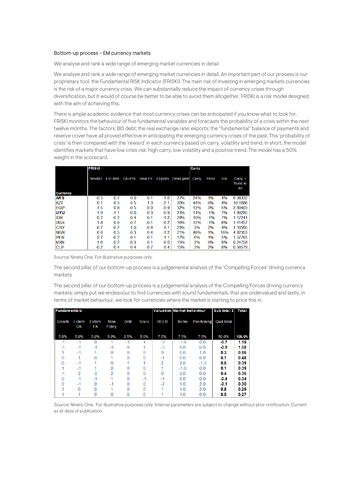#### Bottom-up process – EM currency markets

We analyse and rank a wide range of emerging market currencies in detail

We analyse and rank a wide range of emerging market currencies in detail. An important part of our process is our proprietary tool, the Fundamental RISK Indicator (FRISKI). The main risk of investing in emerging markets currencies is the risk of a major currency crisis. We can substantially reduce the impact of currency crises through diversification, but it would of course be better to be able to avoid them altogether. FRISKI is a risk model designed with the aim of achieving this.

There is ample academic evidence that most currency crises can be anticipated if you know what to look for. FRISKI monitors the behaviour of five fundamental variables and forecasts the probability of a crisis within the next twelve months. The factors: BIS debt; the real exchange rate; exports; the "fundamental" balance of payments and reserve cover have all proved effective in anticipating the emerging currency crises of the past. This 'probability of crisis' is then compared with the 'reward' in each currency based on carry, volatility and trend. In short, the model identifies markets that have low crisis risk, high carry, low volatility and a positive trend. The model has a 50% weight in the scorecard.

|                               | <b>FRISKI</b>      |          |        | Carry          |         |             |       |        |     |                                    |
|-------------------------------|--------------------|----------|--------|----------------|---------|-------------|-------|--------|-----|------------------------------------|
|                               | Res/M <sub>2</sub> | Ext debt | CA+FDI | <b>Real FX</b> | Exports | Crisis prob | Carry | Trend  | Vol | $Carn +$<br><b>Trend vs</b><br>vol |
| <b>Currency</b><br><b>ARS</b> | $-0.5$             | 0.7      | 0.0    | 0.1            | $-1.6$  | 27%         | 24%   | 1%     | 4%  | 6.08332                            |
| KZT                           | 0.1                | 0.5      | 0.5    | 1.3            | $-2.1$  | 20%         | 44%   | 0%     | 4%  | 10.1686                            |
| <b>EGP</b>                    | $-1.5$             | 0.8      | $-0.5$ | 0.0            | $-0.9$  | 32%         | 12%   | 3%     | 5%  | 2.89403                            |
| UYU                           | 1.9                | $-1.1$   | $-0.0$ | $-0.3$         | $-0.9$  | 23%         | 14%   | $-1\%$ | 7%  | 1.89285                            |
| <b>IDR</b>                    | 0.2                | $-0.2$   | $-0.4$ | 0.1            | $-1.2$  | 29%         | 10%   | $-1\%$ | 7%  | 1.17241                            |
| <b>UGX</b>                    | 1.8                | 0.6      | $-0.7$ | $-0.1$         | $-0.2$  | 16%         | 12%   | $-1\%$ | 8%  | 1.41457                            |
| <b>CNY</b>                    | $-0.7$             | $-0.2$   | 1.0    | $-0.6$         | 0.1     | 23%         | 3%    | 2%     | 4%  | 1.16595                            |
| <b>NGN</b>                    | 0.6                | 0.5      | $-0.3$ | 0.4            | $-1.2$  | 21%         | 48%   | 1%     | 10% | 4.82353                            |
| <b>PEN</b>                    | 2.7                | $-0.2$   | $-0.1$ | $-0.1$         | $-1.1$  | 17%         | 6%    | 1%     | 5%  | 1.37765                            |
| <b>MXN</b>                    | 1.6                | 0.2      | $-0.3$ | 0.1            | $-0.0$  | 15%         | 2%    | 0%     | 9%  | 0.24758                            |
| <b>CLP</b>                    | $-0.2$             | 0.4      | 0.4    | 0.7            | 0.4     | 15%         | 3%    | 2%     | 8%  | 0.56579                            |

Source: Ninety One. For illustrative purposes only.

The second pillar of our bottom-up process is a judgemental analysis of the 'Compelling Forces' driving currency markets

The second pillar of our bottom-up process is a judgemental analysis of the Compelling Forces driving currency markets; simply put we endeavour to find currencies with sound fundamentals, that are undervalued and lastly, in terms of market behaviour, we look for currencies where the market is starting to price this in.

| <b>Fundamentals</b> |              |              |                      |      |       | Valuation Market behaviour |        |                | Sub total 2 | Total  |
|---------------------|--------------|--------------|----------------------|------|-------|----------------------------|--------|----------------|-------------|--------|
| Growth              | Extern<br>CA | Extern<br>FA | Mon<br><b>Policy</b> | Debt | Socio | <b>REER</b>                | Techn  | Positioning    | Qual total  |        |
| 5.0%                | 5.0%         | 5.0%         | 5.0%                 | 2.5% | 5.0%  | 7.5%                       | 7.5%   | 7.5%           | 50.0%       | 100.0% |
| $-1$                | $-1$         | U            |                      | -1   |       | $-3$                       | $-1.0$ | 0.0            | $-0.7$      | 1.18   |
| -1                  | -1           | -1           | $-2$                 |      |       | $-3$                       | 0.0    | 0 <sub>0</sub> | $-0.9$      | 1.08   |
|                     | $-1$         |              |                      |      |       | $\Omega$                   | 0.0    | 1.0            | 0.3         | 0.86   |
|                     |              |              |                      |      |       | $-1$                       | 0.0    | 0.0            | 0.1         | 0.48   |
|                     | $-1$         |              |                      |      |       | $\mathfrak{p}$             | 2.0    | $-1.0$         | 0.6         | 0.39   |
|                     | -1           |              |                      |      |       |                            | $-1.0$ | 0.0            | 0.1         | 0.39   |
| $-1$                | 2            | $-2$         | 2                    |      |       |                            | 2.0    | 0 <sub>0</sub> | 0.4         | 0.36   |
| O                   | -1           | $-1$         |                      |      | -1    | $-1$                       | 0.0    | 0.0            | $-0.4$      | 0.34   |
|                     | $-1$         |              | -1                   |      |       | $-2$                       | 1.0    | 2.0            | $-0.1$      | 0.30   |
|                     |              |              |                      |      |       |                            | 1.0    | 2.0            | 0.8         | 0.29   |
|                     |              |              |                      |      |       |                            | 1.0    | 0.0            | 0.5         | 0.27   |

Source: Ninety One. For illustrative purposes only. Internal parameters are subject to change without prior notification. Current as at date of publication.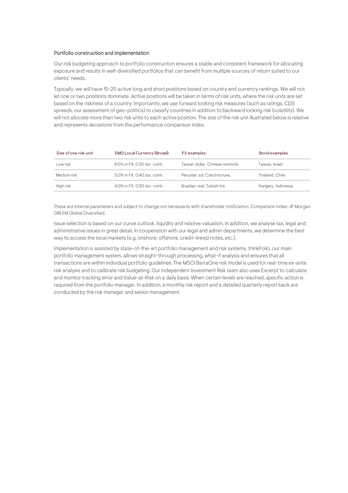#### Portfolio construction and implementation

Our risk budgeting approach to portfolio construction ensures a stable and consistent framework for allocating exposure and results in well-diversified portfolios that can benefit from multiple sources of return suited to our clients' needs.

Typically, we will have 15-25 active long and short positions based on country and currency rankings. We will not let one or two positions dominate. Active positions will be taken in terms of risk units, where the risk units are set based on the riskiness of a country. Importantly, we use forward looking risk measures (such as ratings, CDS spreads, our assessment of geo-politics) to classify countries in addition to backward looking risk (volatility). We will not allocate more than two risk units to each active position. The size of the risk unit illustrated below is relative and represents deviations from the performance comparison index.<br>'  $D = \{a, b\}$ 

| Size of one risk unit | <b>EMD Local Currency (Broad)</b> | <b>FX</b> examples              | Bond examples      |
|-----------------------|-----------------------------------|---------------------------------|--------------------|
| Low risk              | 6.0% in FX: 0.50 dur. contr.      | Taiwan dollar, Chinese renminbi | Taiwan, Israel     |
| Medium risk           | 5.0% in FX: 0.40 dur. contr.      | Peruvian sol. Czech koruna      | Thailand, Chile    |
| High risk             | 4.0% in FX: 0.30 dur. contr.      | Brazilian real. Turkish lira    | Hungary, Indonesia |

These are internal parameters and subject to change not necessarily with shareholder notification. Comparison index: JP Morgan GBI EM Global Diversified.

lssue selection is based on our curve outlook, liquidity and relative valuation. In addition, we analyse tax, legal and administrative issues in great detail. In cooperation with our legal and admin departments, we determine the best way to access the local markets (e.g. onshore, offshore, credit-linked notes, etc.).

Implementation is assisted by state-of-the-art portfolio management and risk systems. thinkFolio, our main portfolio management system, allows straight-through processing, what-if analysis and ensures that all transactions are within individual portfolio guidelines. The MSCI BarraOne risk model is used for real-time ex-ante risk analysis and to calibrate risk budgeting. Our independent Investment Risk team also uses Excerpt to calculate and monitor tracking error and Value-at-Risk on a daily basis. When certain levels are reached, specific action is required from the portfolio manager. In addition, a monthly risk report and a detailed quarterly report back are conducted by the risk manager and senior management.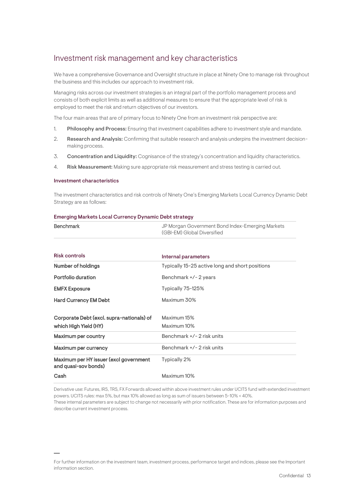## <span id="page-12-0"></span>Investment risk management and key characteristics

We have a comprehensive Governance and Oversight structure in place at Ninety One to manage risk throughout the business and this includes our approach to investment risk.

Managing risks across our investment strategies is an integral part of the portfolio management process and consists of both explicit limits as well as additional measures to ensure that the appropriate level of risk is employed to meet the risk and return objectives of our investors.

The four main areas that are of primary focus to Ninety One from an investment risk perspective are:

- 1. Philosophy and Process: Ensuring that investment capabilities adhere to investment style and mandate.
- 2. Research and Analysis: Confirming that suitable research and analysis underpins the investment decisionmaking process.
- 3. Concentration and Liquidity: Cognisance of the strategy's concentration and liquidity characteristics.
- 4. Risk Measurement: Making sure appropriate risk measurement and stress testing is carried out.

#### Investment characteristics

The investment characteristics and risk controls of Ninety One's Emerging Markets Local Currency Dynamic Debt Strategy are as follows:

#### Emerging Markets Local Currency Dynamic Debt strategy

| <b>Benchmark</b>                                               | JP Morgan Government Bond Index-Emerging Markets<br>(GBI-EM) Global Diversified |
|----------------------------------------------------------------|---------------------------------------------------------------------------------|
| <b>Risk controls</b>                                           |                                                                                 |
|                                                                | Internal parameters                                                             |
| Number of holdings                                             | Typically 15-25 active long and short positions                                 |
| Portfolio duration                                             | Benchmark +/-2 years                                                            |
| <b>EMFX Exposure</b>                                           | Typically 75-125%                                                               |
| <b>Hard Currency EM Debt</b>                                   | Maximum 30%                                                                     |
| Corporate Debt (excl. supra-nationals) of                      | Maximum 15%                                                                     |
| which High Yield (HY)                                          | Maximum 10%                                                                     |
| <b>Maximum per country</b>                                     | Benchmark +/-2 risk units                                                       |
| Maximum per currency                                           | Benchmark +/- 2 risk units                                                      |
| Maximum per HY issuer (excl government<br>and quasi-sov bonds) | Typically 2%                                                                    |
| Cash                                                           | Maximum 10%                                                                     |

Derivative use: Futures, IRS, TRS, FX Forwards allowed within above investment rules under UCITS fund with extended investment powers. UCITS rules: max 5%, but max 10% allowed as long as sum of issuers between 5-10% < 40%.

These internal parameters are subject to change not necessarily with prior notification. These are for information purposes and describe current investment process.

For further information on the investment team, investment process, performance target and indices, please see the Important information section.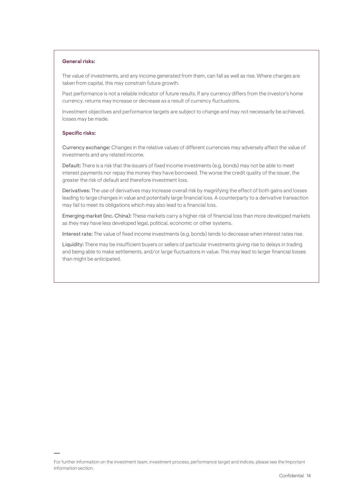#### General risks:

The value of investments, and any income generated from them, can fall as well as rise. Where charges are taken from capital, this may constrain future growth.

Past performance is not a reliable indicator of future results. If any currency differs from the investor's home currency, returns may increase or decrease as a result of currency fluctuations.

Investment objectives and performance targets are subject to change and may not necessarily be achieved, losses may be made.

#### Specific risks:

Currency exchange: Changes in the relative values of different currencies may adversely affect the value of investments and any related income.

Default: There is a risk that the issuers of fixed income investments (e.g. bonds) may not be able to meet interest payments nor repay the money they have borrowed. The worse the credit quality of the issuer, the greater the risk of default and therefore investment loss.

Derivatives: The use of derivatives may increase overall risk by magnifying the effect of both gains and losses leading to large changes in value and potentially large financial loss. A counterparty to a derivative transaction may fail to meet its obligations which may also lead to a financial loss.

Emerging market (inc. China): These markets carry a higher risk of financial loss than more developed markets as they may have less developed legal, political, economic or other systems.

Interest rate: The value of fixed income investments (e.g. bonds) tends to decrease when interest rates rise.

Liquidity: There may be insufficient buyers or sellers of particular investments giving rise to delays in trading and being able to make settlements, and/or large fluctuations in value. This may lead to larger financial losses than might be anticipated.

For further information on the investment team, investment process, performance target and indices, please see the Important information section.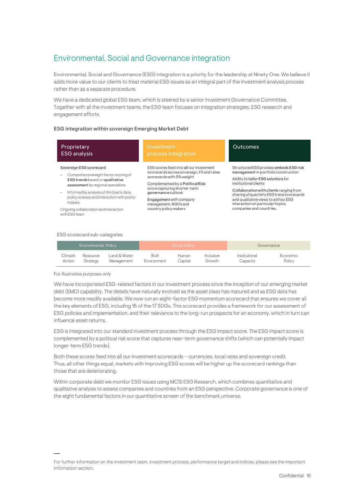# <span id="page-14-0"></span>Environmental, Social and Governance integration

Environmental, Social and Governance (ESG) integration is a priority for the leadership at Ninety One. We believe it adds more value to our clients to treat material ESG issues as an integral part of the investment analysis process rather than as a separate procedure.

We have a dedicated global ESG team, which is steered by a senior Investment Governance Committee. Together with all the investment teams, the ESG team focuses on integration strategies, ESG research and engagement efforts.

#### ESG integration within sovereign Emerging Market Debt

| Proprietary<br><b>ESG</b> analysis                                                                                                                                                                                                               | Investment<br>process integration                                                                                                                                                                                                                              | Outcomes                                                                                                                                                                                                                                                                                                           |
|--------------------------------------------------------------------------------------------------------------------------------------------------------------------------------------------------------------------------------------------------|----------------------------------------------------------------------------------------------------------------------------------------------------------------------------------------------------------------------------------------------------------------|--------------------------------------------------------------------------------------------------------------------------------------------------------------------------------------------------------------------------------------------------------------------------------------------------------------------|
| Sovereign ESG scorecard<br>Comprehensive eight factor scoring of<br>ESG trends based on qualitative<br>assessment by regional specialists<br>Informed by analysis of third party data,<br>policy analysis and interaction with policy-<br>makers | ESG scores feed into all our investment<br>scorecards across sovereign, FX and rates<br>scorecards with 5% weight<br>Complemented by a Political Risk<br>score capturing shorter-term<br>governance outlook<br>Engagement with company<br>management, NGOs and | Structured ESG process embeds ESG risk<br>management in portfolio construction<br>Ability to tailor ESG solutions for<br>institutional clients<br>Collaboration with clients ranging from<br>sharing of quarterly ESG trend scorecards<br>and qualitative views to ad hoc ESG<br>interaction on particular topics, |
| Ongoing collaboration and interaction<br>with ESG team                                                                                                                                                                                           | country policy makers                                                                                                                                                                                                                                          | companies and countries.                                                                                                                                                                                                                                                                                           |

#### ESG scorecard sub-categories

| Environmental Policy |          |              |             | Social Policy |                  |               | Governance |
|----------------------|----------|--------------|-------------|---------------|------------------|---------------|------------|
| Climate              | Resource | Land & Water | Built       | <b>Human</b>  | <i>Inclusive</i> | Institutional | Economic   |
| Action               | Strategy | Management   | Environment | Capital       | Growth           | Capacitv      | Policy     |

For illustrative purposes only

We have incorporated ESG-related factors in our investment process since the inception of our emerging market debt (EMD) capability. The details have naturally evolved as the asset class has matured and as ESG data has become more readily available. We now run an eight-factor ESG momentum scorecard that ensures we cover all the key elements of ESG, including 16 of the 17 SDGs. This scorecard provides a framework for our assessment of ESG policies and implementation, and their relevance to the long-run prospects for an economy, which in turn can influence asset returns.

ESG is integrated into our standard investment process through the ESG impact score. The ESG impact score is complemented by a political risk score that captures near-term governance shifts (which can potentially impact longer-term ESG trends).

Both these scores feed into all our investment scorecards – currencies, local rates and sovereign credit. Thus, all other things equal, markets with improving ESG scores will be higher up the scorecard rankings than those that are deteriorating.

Within corporate debt we monitor ESG issues using MCSI ESG Research, which combines quantitative and qualitative analysis to assess companies and countries from an ESG perspective. Corporate governance is one of the eight fundamental factors in our quantitative screen of the benchmark universe.

For further information on the investment team, investment process, performance target and indices, please see the Important information section.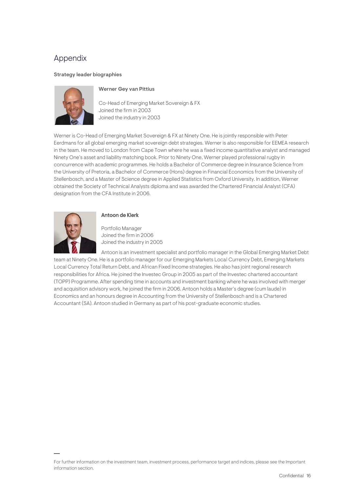## <span id="page-15-0"></span>Appendix

#### Strategy leader biographies



### Werner Gey van Pittius

Co-Head of Emerging Market Sovereign & FX Joined the firm in 2003 Joined the industry in 2003

Werner is Co-Head of Emerging Market Sovereign & FX at Ninety One. He is jointly responsible with Peter Eerdmans for all global emerging market sovereign debt strategies. Werner is also responsible for EEMEA research in the team. He moved to London from Cape Town where he was a fixed income quantitative analyst and managed Ninety One's asset and liability matching book. Prior to Ninety One, Werner played professional rugby in concurrence with academic programmes. He holds a Bachelor of Commerce degree in Insurance Science from the University of Pretoria, a Bachelor of Commerce (Hons) degree in Financial Economics from the University of Stellenbosch, and a Master of Science degree in Applied Statistics from Oxford University. In addition, Werner obtained the Society of Technical Analysts diploma and was awarded the Chartered Financial Analyst (CFA) designation from the CFA Institute in 2006.



## Antoon de Klerk

Portfolio Manager Joined the firm in 2006 Joined the industry in 2005

Antoon is an investment specialist and portfolio manager in the Global Emerging Market Debt team at Ninety One. He is a portfolio manager for our Emerging Markets Local Currency Debt, Emerging Markets Local Currency Total Return Debt, and African Fixed Income strategies. He also has joint regional research responsibilities for Africa. He joined the Investec Group in 2005 as part of the Investec chartered accountant (TOPP) Programme. After spending time in accounts and investment banking where he was involved with merger and acquisition advisory work, he joined the firm in 2006. Antoon holds a Master's degree (cum laude) in Economics and an honours degree in Accounting from the University of Stellenbosch and is a Chartered Accountant (SA). Antoon studied in Germany as part of his post-graduate economic studies.

For further information on the investment team, investment process, performance target and indices, please see the Important information section.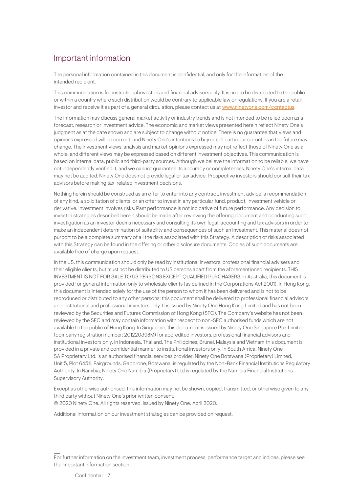# <span id="page-16-0"></span>Important information

The personal information contained in this document is confidential, and only for the information of the intended recipient.

This communication is for institutional investors and financial advisors only. It is not to be distributed to the public or within a country where such distribution would be contrary to applicable law or regulations. If you are a retail investor and receive it as part of a general circulation, please contact us at [www.ninetyone.com/contactus.](http://www.ninetyone.com/contactus)

The information may discuss general market activity or industry trends and is not intended to be relied upon as a forecast, research or investment advice. The economic and market views presented herein reflect Ninety One's judgment as at the date shown and are subject to change without notice. There is no guarantee that views and opinions expressed will be correct, and Ninety One's intentions to buy or sell particular securities in the future may change. The investment views, analysis and market opinions expressed may not reflect those of Ninety One as a whole, and different views may be expressed based on different investment objectives. This communication is based on internal data, public and third-party sources. Although we believe the information to be reliable, we have not independently verified it, and we cannot guarantee its accuracy or completeness. Ninety One's internal data may not be audited. Ninety One does not provide legal or tax advice. Prospective investors should consult their tax advisors before making tax-related investment decisions.

Nothing herein should be construed as an offer to enter into any contract, investment advice, a recommendation of any kind, a solicitation of clients, or an offer to invest in any particular fund, product, investment vehicle or derivative. Investment involves risks. Past performance is not indicative of future performance. Any decision to invest in strategies described herein should be made after reviewing the offering document and conducting such investigation as an investor deems necessary and consulting its own legal, accounting and tax advisors in order to make an independent determination of suitability and consequences of such an investment. This material does not purport to be a complete summary of all the risks associated with this Strategy. A description of risks associated with this Strategy can be found in the offering or other disclosure documents. Copies of such documents are available free of charge upon request.

In the US, this communication should only be read by institutional investors, professional financial advisers and their eligible clients, but must not be distributed to US persons apart from the aforementioned recipients. THIS INVESTMENT IS NOT FOR SALE TO US PERSONS EXCEPT QUALIFIED PURCHASERS. In Australia, this document is provided for general information only to wholesale clients (as defined in the Corporations Act 2001). In Hong Kong, this document is intended solely for the use of the person to whom it has been delivered and is not to be reproduced or distributed to any other persons; this document shall be delivered to professional financial advisors and institutional and professional investors only. It is issued by Ninety One Hong Kong Limited and has not been reviewed by the Securities and Futures Commission of Hong Kong (SFC). The Company's website has not been reviewed by the SFC and may contain information with respect to non-SFC authorised funds which are not available to the public of Hong Kong. In Singapore, this document is issued by Ninety One Singapore Pte. Limited (company registration number: 201220398M) for accredited investors, professional financial advisors and institutional investors only. In Indonesia, Thailand, The Philippines, Brunei, Malaysia and Vietnam this document is provided in a private and confidential manner to institutional investors only. In South Africa, Ninety One SA Proprietary Ltd. is an authorised financial services provider. Ninety One Botswana (Proprietary) Limited, Unit 5, Plot 64511, Fairgrounds, Gaborone, Botswana, is regulated by the Non-Bank Financial Institutions Regulatory Authority. In Namibia, Ninety One Namibia (Proprietary) Ltd is regulated by the Namibia Financial Institutions Supervisory Authority.

Except as otherwise authorised, this information may not be shown, copied, transmitted, or otherwise given to any third party without Ninety One's prior written consent.

© 2020 Ninety One. All rights reserved. Issued by Ninety One, April 2020.

Additional information on our investment strategies can be provided on request.

For further information on the investment team, investment process, performance target and indices, please see the Important information section.